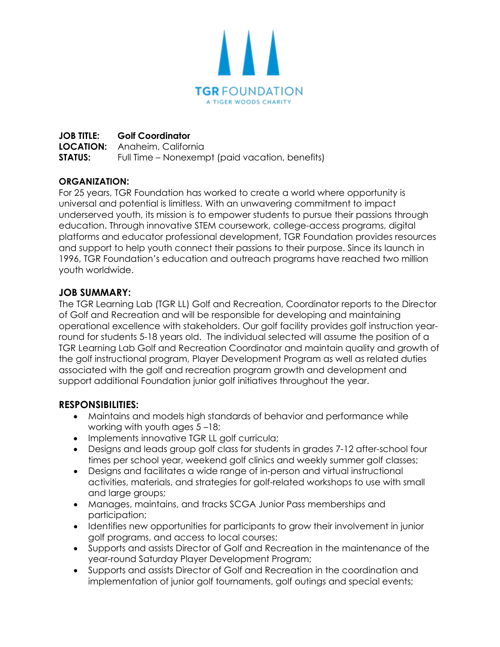

# **JOB TITLE: Golf Coordinator**

**LOCATION:** Anaheim, California **STATUS:** Full Time – Nonexempt (paid vacation, benefits)

### **ORGANIZATION:**

For 25 years, TGR Foundation has worked to create a world where opportunity is universal and potential is limitless. With an unwavering commitment to impact underserved youth, its mission is to empower students to pursue their passions through education. Through innovative STEM coursework, college-access programs, digital platforms and educator professional development, TGR Foundation provides resources and support to help youth connect their passions to their purpose. Since its launch in 1996, TGR Foundation's education and outreach programs have reached two million youth worldwide.

### **JOB SUMMARY:**

The TGR Learning Lab (TGR LL) Golf and Recreation, Coordinator reports to the Director of Golf and Recreation and will be responsible for developing and maintaining operational excellence with stakeholders. Our golf facility provides golf instruction yearround for students 5-18 years old. The individual selected will assume the position of a TGR Learning Lab Golf and Recreation Coordinator and maintain quality and growth of the golf instructional program, Player Development Program as well as related duties associated with the golf and recreation program growth and development and support additional Foundation junior golf initiatives throughout the year.

## **RESPONSIBILITIES:**

- Maintains and models high standards of behavior and performance while working with youth ages 5 –18;
- Implements innovative TGR LL golf curricula;
- Designs and leads group golf class for students in grades 7-12 after-school four times per school year, weekend golf clinics and weekly summer golf classes;
- Designs and facilitates a wide range of in-person and virtual instructional activities, materials, and strategies for golf-related workshops to use with small and large groups;
- Manages, maintains, and tracks SCGA Junior Pass memberships and participation;
- Identifies new opportunities for participants to grow their involvement in junior golf programs, and access to local courses;
- Supports and assists Director of Golf and Recreation in the maintenance of the year-round Saturday Player Development Program;
- Supports and assists Director of Golf and Recreation in the coordination and implementation of junior golf tournaments, golf outings and special events;